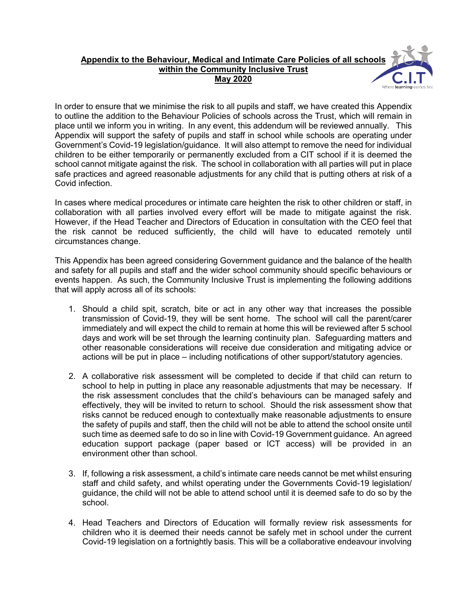## **Appendix to the Behaviour, Medical and Intimate Care Policies of all schools within the Community Inclusive Trust May 2020**

In order to ensure that we minimise the risk to all pupils and staff, we have created this Appendix to outline the addition to the Behaviour Policies of schools across the Trust, which will remain in place until we inform you in writing. In any event, this addendum will be reviewed annually. This Appendix will support the safety of pupils and staff in school while schools are operating under Government's Covid-19 legislation/guidance. It will also attempt to remove the need for individual children to be either temporarily or permanently excluded from a CIT school if it is deemed the school cannot mitigate against the risk. The school in collaboration with all parties will put in place safe practices and agreed reasonable adjustments for any child that is putting others at risk of a Covid infection.

In cases where medical procedures or intimate care heighten the risk to other children or staff, in collaboration with all parties involved every effort will be made to mitigate against the risk. However, if the Head Teacher and Directors of Education in consultation with the CEO feel that the risk cannot be reduced sufficiently, the child will have to educated remotely until circumstances change.

This Appendix has been agreed considering Government guidance and the balance of the health and safety for all pupils and staff and the wider school community should specific behaviours or events happen. As such, the Community Inclusive Trust is implementing the following additions that will apply across all of its schools:

- 1. Should a child spit, scratch, bite or act in any other way that increases the possible transmission of Covid-19, they will be sent home. The school will call the parent/carer immediately and will expect the child to remain at home this will be reviewed after 5 school days and work will be set through the learning continuity plan. Safeguarding matters and other reasonable considerations will receive due consideration and mitigating advice or actions will be put in place – including notifications of other support/statutory agencies.
- 2. A collaborative risk assessment will be completed to decide if that child can return to school to help in putting in place any reasonable adjustments that may be necessary. If the risk assessment concludes that the child's behaviours can be managed safely and effectively, they will be invited to return to school. Should the risk assessment show that risks cannot be reduced enough to contextually make reasonable adjustments to ensure the safety of pupils and staff, then the child will not be able to attend the school onsite until such time as deemed safe to do so in line with Covid-19 Government guidance. An agreed education support package (paper based or ICT access) will be provided in an environment other than school.
- 3. If, following a risk assessment, a child's intimate care needs cannot be met whilst ensuring staff and child safety, and whilst operating under the Governments Covid-19 legislation/ guidance, the child will not be able to attend school until it is deemed safe to do so by the school.
- 4. Head Teachers and Directors of Education will formally review risk assessments for children who it is deemed their needs cannot be safely met in school under the current Covid-19 legislation on a fortnightly basis. This will be a collaborative endeavour involving